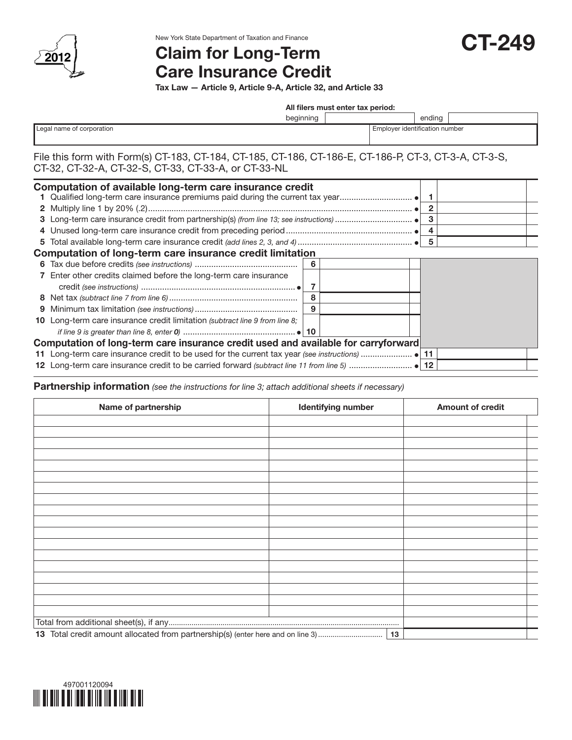

New York State Department of Taxation and Finance

# Claim for Long-Term Care Insurance Credit

Tax Law — Article 9, Article 9-A, Article 32, and Article 33

All filers must enter tax period:

CT-249

|                           | beginning                      |  | ending |  |
|---------------------------|--------------------------------|--|--------|--|
| Legal name of corporation | Employer identification number |  |        |  |
|                           |                                |  |        |  |

### File this form with Form(s) CT-183, CT-184, CT-185, CT-186, CT-186-E, CT-186-P, CT-3, CT-3-A, CT-3-S, CT-32, CT-32-A, CT-32-S, CT-33, CT-33-A, or CT-33-NL

|   | Computation of available long-term care insurance credit                           |   |   |  |
|---|------------------------------------------------------------------------------------|---|---|--|
|   |                                                                                    |   | 2 |  |
|   |                                                                                    |   | З |  |
|   |                                                                                    |   |   |  |
|   |                                                                                    |   |   |  |
|   | Computation of long-term care insurance credit limitation                          |   |   |  |
| 6 |                                                                                    | 6 |   |  |
|   | 7 Enter other credits claimed before the long-term care insurance                  |   |   |  |
|   |                                                                                    |   |   |  |
|   |                                                                                    | 8 |   |  |
| 9 |                                                                                    | 9 |   |  |
|   | 10 Long-term care insurance credit limitation (subtract line 9 from line 8;        |   |   |  |
|   |                                                                                    |   |   |  |
|   | Computation of long-term care insurance credit used and available for carryforward |   |   |  |
|   |                                                                                    |   |   |  |
|   |                                                                                    |   |   |  |

#### Partnership information *(see the instructions for line 3; attach additional sheets if necessary)*

| Name of partnership | <b>Identifying number</b> | <b>Amount of credit</b> |
|---------------------|---------------------------|-------------------------|
|                     |                           |                         |
|                     |                           |                         |
|                     |                           |                         |
|                     |                           |                         |
|                     |                           |                         |
|                     |                           |                         |
|                     |                           |                         |
|                     |                           |                         |
|                     |                           |                         |
|                     |                           |                         |
|                     |                           |                         |
|                     |                           |                         |
|                     |                           |                         |
|                     |                           |                         |
|                     |                           |                         |
|                     |                           |                         |
|                     |                           |                         |
|                     |                           |                         |
|                     |                           |                         |
|                     |                           |                         |